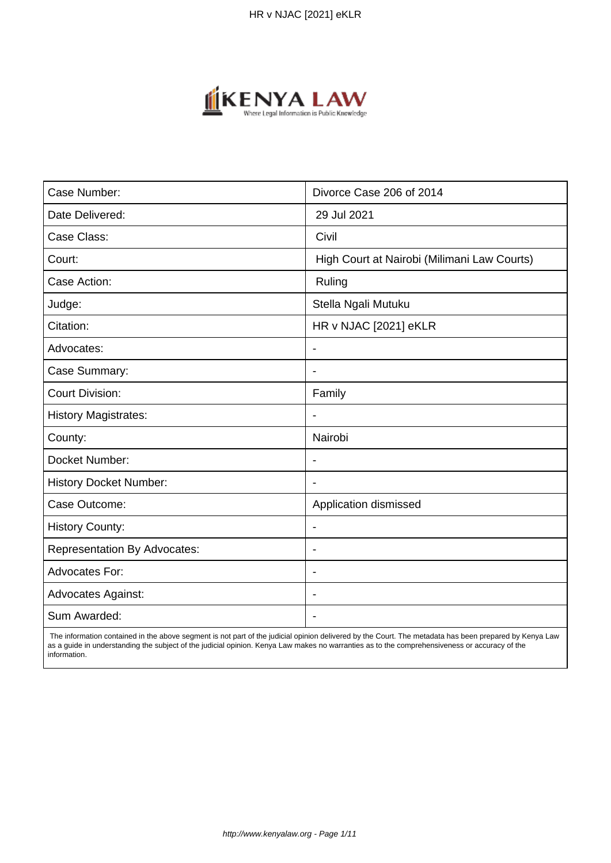

| Case Number:                        | Divorce Case 206 of 2014                    |
|-------------------------------------|---------------------------------------------|
| Date Delivered:                     | 29 Jul 2021                                 |
| Case Class:                         | Civil                                       |
| Court:                              | High Court at Nairobi (Milimani Law Courts) |
| Case Action:                        | Ruling                                      |
| Judge:                              | Stella Ngali Mutuku                         |
| Citation:                           | HR v NJAC [2021] eKLR                       |
| Advocates:                          | $\overline{\phantom{a}}$                    |
| Case Summary:                       | $\blacksquare$                              |
| <b>Court Division:</b>              | Family                                      |
| <b>History Magistrates:</b>         | $\overline{\phantom{a}}$                    |
| County:                             | Nairobi                                     |
| Docket Number:                      |                                             |
| <b>History Docket Number:</b>       | $\overline{\phantom{0}}$                    |
| Case Outcome:                       | Application dismissed                       |
| <b>History County:</b>              | $\overline{\phantom{a}}$                    |
| <b>Representation By Advocates:</b> | $\overline{\phantom{a}}$                    |
| Advocates For:                      | $\blacksquare$                              |
| <b>Advocates Against:</b>           |                                             |
| Sum Awarded:                        |                                             |

 The information contained in the above segment is not part of the judicial opinion delivered by the Court. The metadata has been prepared by Kenya Law as a guide in understanding the subject of the judicial opinion. Kenya Law makes no warranties as to the comprehensiveness or accuracy of the information.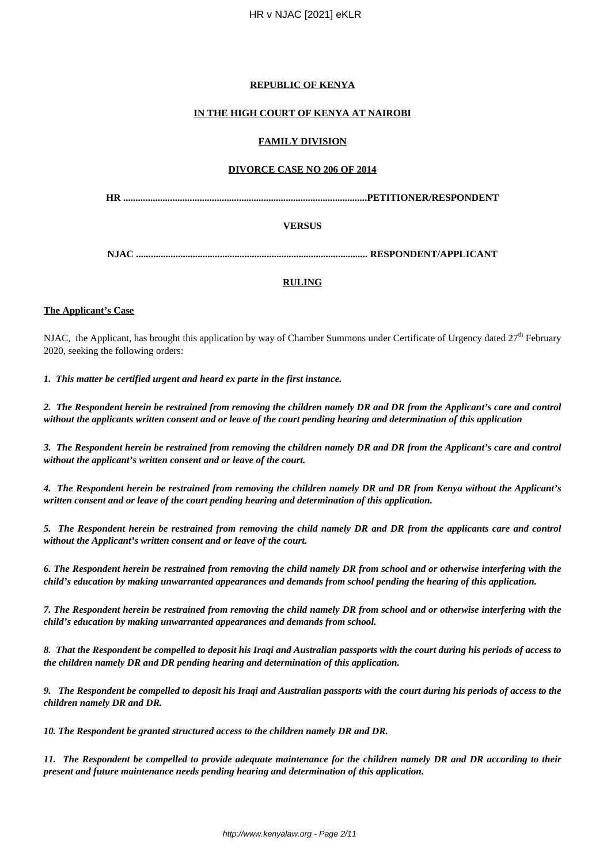## **REPUBLIC OF KENYA**

## **IN THE HIGH COURT OF KENYA AT NAIROBI**

### **FAMILY DIVISION**

### **DIVORCE CASE NO 206 OF 2014**

**HR ...................................................................................................PETITIONER/RESPONDENT**

## **VERSUS**

**NJAC .............................................................................................. RESPONDENT/APPLICANT**

## **RULING**

### **The Applicant's Case**

NJAC, the Applicant, has brought this application by way of Chamber Summons under Certificate of Urgency dated  $27<sup>th</sup>$  February 2020, seeking the following orders:

*1. This matter be certified urgent and heard ex parte in the first instance.*

*2. The Respondent herein be restrained from removing the children namely DR and DR from the Applicant's care and control without the applicants written consent and or leave of the court pending hearing and determination of this application*

*3. The Respondent herein be restrained from removing the children namely DR and DR from the Applicant's care and control without the applicant's written consent and or leave of the court.*

*4. The Respondent herein be restrained from removing the children namely DR and DR from Kenya without the Applicant's written consent and or leave of the court pending hearing and determination of this application.*

*5. The Respondent herein be restrained from removing the child namely DR and DR from the applicants care and control without the Applicant's written consent and or leave of the court.*

*6. The Respondent herein be restrained from removing the child namely DR from school and or otherwise interfering with the child's education by making unwarranted appearances and demands from school pending the hearing of this application.* 

*7. The Respondent herein be restrained from removing the child namely DR from school and or otherwise interfering with the child's education by making unwarranted appearances and demands from school.*

*8. That the Respondent be compelled to deposit his Iraqi and Australian passports with the court during his periods of access to the children namely DR and DR pending hearing and determination of this application.*

*9. The Respondent be compelled to deposit his Iraqi and Australian passports with the court during his periods of access to the children namely DR and DR.*

*10. The Respondent be granted structured access to the children namely DR and DR.*

*11. The Respondent be compelled to provide adequate maintenance for the children namely DR and DR according to their present and future maintenance needs pending hearing and determination of this application.*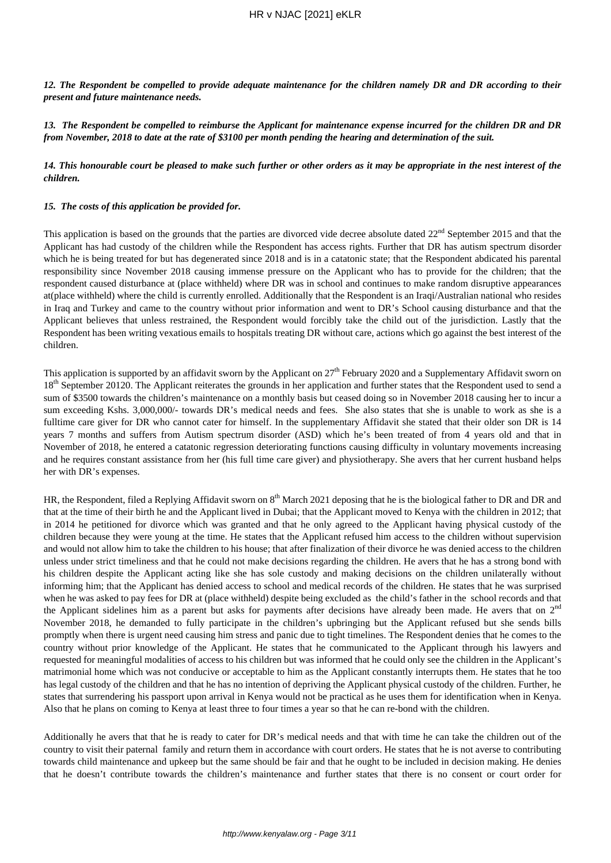*12. The Respondent be compelled to provide adequate maintenance for the children namely DR and DR according to their present and future maintenance needs.*

*13. The Respondent be compelled to reimburse the Applicant for maintenance expense incurred for the children DR and DR from November, 2018 to date at the rate of \$3100 per month pending the hearing and determination of the suit.*

*14. This honourable court be pleased to make such further or other orders as it may be appropriate in the nest interest of the children.*

#### *15. The costs of this application be provided for.*

This application is based on the grounds that the parties are divorced vide decree absolute dated  $22<sup>nd</sup>$  September 2015 and that the Applicant has had custody of the children while the Respondent has access rights. Further that DR has autism spectrum disorder which he is being treated for but has degenerated since 2018 and is in a catatonic state; that the Respondent abdicated his parental responsibility since November 2018 causing immense pressure on the Applicant who has to provide for the children; that the respondent caused disturbance at (place withheld) where DR was in school and continues to make random disruptive appearances at(place withheld) where the child is currently enrolled. Additionally that the Respondent is an Iraqi/Australian national who resides in Iraq and Turkey and came to the country without prior information and went to DR's School causing disturbance and that the Applicant believes that unless restrained, the Respondent would forcibly take the child out of the jurisdiction. Lastly that the Respondent has been writing vexatious emails to hospitals treating DR without care, actions which go against the best interest of the children.

This application is supported by an affidavit sworn by the Applicant on  $27<sup>th</sup>$  February 2020 and a Supplementary Affidavit sworn on 18<sup>th</sup> September 20120. The Applicant reiterates the grounds in her application and further states that the Respondent used to send a sum of \$3500 towards the children's maintenance on a monthly basis but ceased doing so in November 2018 causing her to incur a sum exceeding Kshs. 3,000,000/- towards DR's medical needs and fees. She also states that she is unable to work as she is a fulltime care giver for DR who cannot cater for himself. In the supplementary Affidavit she stated that their older son DR is 14 years 7 months and suffers from Autism spectrum disorder (ASD) which he's been treated of from 4 years old and that in November of 2018, he entered a catatonic regression deteriorating functions causing difficulty in voluntary movements increasing and he requires constant assistance from her (his full time care giver) and physiotherapy. She avers that her current husband helps her with DR's expenses.

HR, the Respondent, filed a Replying Affidavit sworn on  $8<sup>th</sup>$  March 2021 deposing that he is the biological father to DR and DR and that at the time of their birth he and the Applicant lived in Dubai; that the Applicant moved to Kenya with the children in 2012; that in 2014 he petitioned for divorce which was granted and that he only agreed to the Applicant having physical custody of the children because they were young at the time. He states that the Applicant refused him access to the children without supervision and would not allow him to take the children to his house; that after finalization of their divorce he was denied access to the children unless under strict timeliness and that he could not make decisions regarding the children. He avers that he has a strong bond with his children despite the Applicant acting like she has sole custody and making decisions on the children unilaterally without informing him; that the Applicant has denied access to school and medical records of the children. He states that he was surprised when he was asked to pay fees for DR at (place withheld) despite being excluded as the child's father in the school records and that the Applicant sidelines him as a parent but asks for payments after decisions have already been made. He avers that on  $2<sup>nd</sup>$ November 2018, he demanded to fully participate in the children's upbringing but the Applicant refused but she sends bills promptly when there is urgent need causing him stress and panic due to tight timelines. The Respondent denies that he comes to the country without prior knowledge of the Applicant. He states that he communicated to the Applicant through his lawyers and requested for meaningful modalities of access to his children but was informed that he could only see the children in the Applicant's matrimonial home which was not conducive or acceptable to him as the Applicant constantly interrupts them. He states that he too has legal custody of the children and that he has no intention of depriving the Applicant physical custody of the children. Further, he states that surrendering his passport upon arrival in Kenya would not be practical as he uses them for identification when in Kenya. Also that he plans on coming to Kenya at least three to four times a year so that he can re-bond with the children.

Additionally he avers that that he is ready to cater for DR's medical needs and that with time he can take the children out of the country to visit their paternal family and return them in accordance with court orders. He states that he is not averse to contributing towards child maintenance and upkeep but the same should be fair and that he ought to be included in decision making. He denies that he doesn't contribute towards the children's maintenance and further states that there is no consent or court order for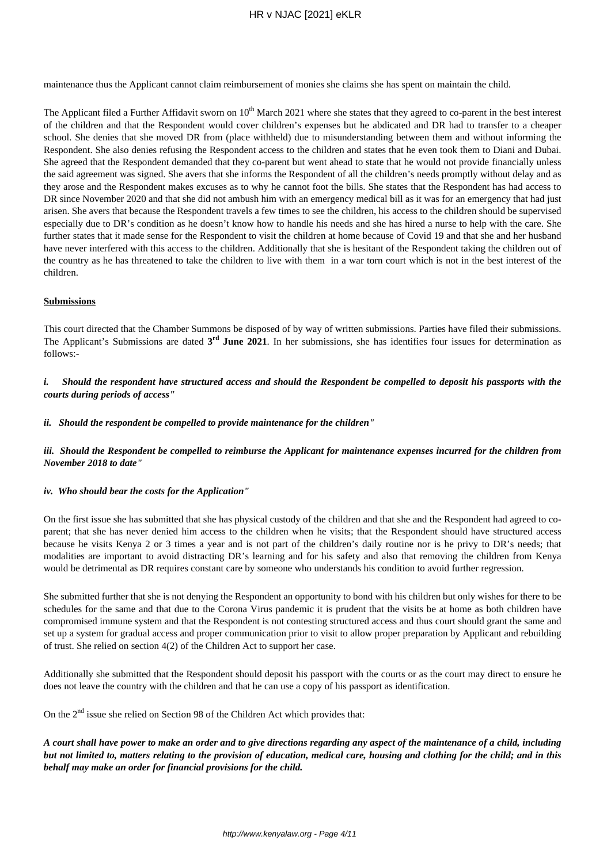maintenance thus the Applicant cannot claim reimbursement of monies she claims she has spent on maintain the child.

The Applicant filed a Further Affidavit sworn on  $10^{th}$  March 2021 where she states that they agreed to co-parent in the best interest of the children and that the Respondent would cover children's expenses but he abdicated and DR had to transfer to a cheaper school. She denies that she moved DR from (place withheld) due to misunderstanding between them and without informing the Respondent. She also denies refusing the Respondent access to the children and states that he even took them to Diani and Dubai. She agreed that the Respondent demanded that they co-parent but went ahead to state that he would not provide financially unless the said agreement was signed. She avers that she informs the Respondent of all the children's needs promptly without delay and as they arose and the Respondent makes excuses as to why he cannot foot the bills. She states that the Respondent has had access to DR since November 2020 and that she did not ambush him with an emergency medical bill as it was for an emergency that had just arisen. She avers that because the Respondent travels a few times to see the children, his access to the children should be supervised especially due to DR's condition as he doesn't know how to handle his needs and she has hired a nurse to help with the care. She further states that it made sense for the Respondent to visit the children at home because of Covid 19 and that she and her husband have never interfered with this access to the children. Additionally that she is hesitant of the Respondent taking the children out of the country as he has threatened to take the children to live with them in a war torn court which is not in the best interest of the children.

### **Submissions**

This court directed that the Chamber Summons be disposed of by way of written submissions. Parties have filed their submissions. The Applicant's Submissions are dated  $3^{rd}$  June 2021. In her submissions, she has identifies four issues for determination as follows:-

*i. Should the respondent have structured access and should the Respondent be compelled to deposit his passports with the courts during periods of access"*

#### *ii. Should the respondent be compelled to provide maintenance for the children"*

*iii. Should the Respondent be compelled to reimburse the Applicant for maintenance expenses incurred for the children from November 2018 to date"*

#### *iv. Who should bear the costs for the Application"*

On the first issue she has submitted that she has physical custody of the children and that she and the Respondent had agreed to coparent; that she has never denied him access to the children when he visits; that the Respondent should have structured access because he visits Kenya 2 or 3 times a year and is not part of the children's daily routine nor is he privy to DR's needs; that modalities are important to avoid distracting DR's learning and for his safety and also that removing the children from Kenya would be detrimental as DR requires constant care by someone who understands his condition to avoid further regression.

She submitted further that she is not denying the Respondent an opportunity to bond with his children but only wishes for there to be schedules for the same and that due to the Corona Virus pandemic it is prudent that the visits be at home as both children have compromised immune system and that the Respondent is not contesting structured access and thus court should grant the same and set up a system for gradual access and proper communication prior to visit to allow proper preparation by Applicant and rebuilding of trust. She relied on section 4(2) of the Children Act to support her case.

Additionally she submitted that the Respondent should deposit his passport with the courts or as the court may direct to ensure he does not leave the country with the children and that he can use a copy of his passport as identification.

On the  $2<sup>nd</sup>$  issue she relied on Section 98 of the Children Act which provides that:

*A court shall have power to make an order and to give directions regarding any aspect of the maintenance of a child, including but not limited to, matters relating to the provision of education, medical care, housing and clothing for the child; and in this behalf may make an order for financial provisions for the child.*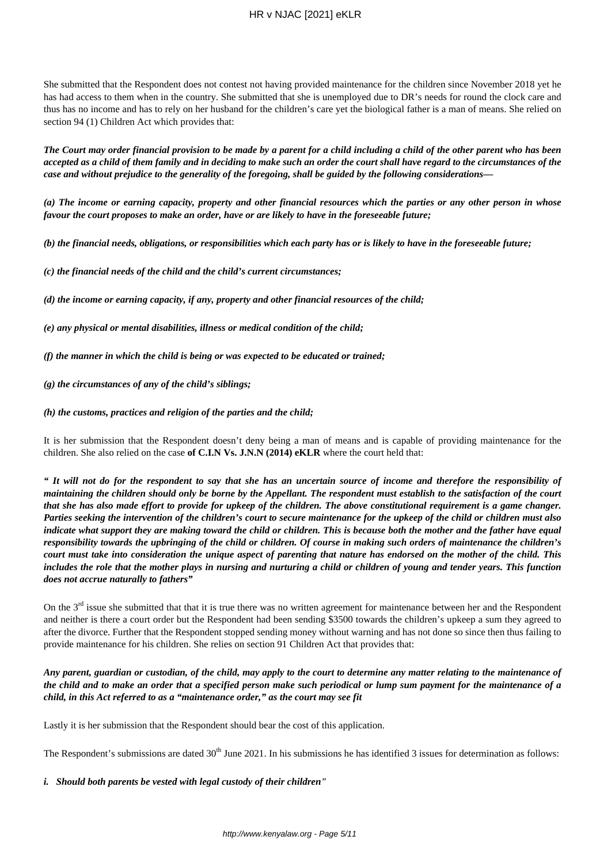# HR v NJAC [2021] eKLR

She submitted that the Respondent does not contest not having provided maintenance for the children since November 2018 yet he has had access to them when in the country. She submitted that she is unemployed due to DR's needs for round the clock care and thus has no income and has to rely on her husband for the children's care yet the biological father is a man of means. She relied on section 94 (1) Children Act which provides that:

*The Court may order financial provision to be made by a parent for a child including a child of the other parent who has been accepted as a child of them family and in deciding to make such an order the court shall have regard to the circumstances of the case and without prejudice to the generality of the foregoing, shall be guided by the following considerations—*

*(a) The income or earning capacity, property and other financial resources which the parties or any other person in whose favour the court proposes to make an order, have or are likely to have in the foreseeable future;*

*(b) the financial needs, obligations, or responsibilities which each party has or is likely to have in the foreseeable future;*

*(c) the financial needs of the child and the child's current circumstances;*

*(d) the income or earning capacity, if any, property and other financial resources of the child;*

*(e) any physical or mental disabilities, illness or medical condition of the child;*

*(f) the manner in which the child is being or was expected to be educated or trained;*

*(g) the circumstances of any of the child's siblings;*

*(h) the customs, practices and religion of the parties and the child;*

It is her submission that the Respondent doesn't deny being a man of means and is capable of providing maintenance for the children. She also relied on the case **of C.I.N Vs. J.N.N (2014) eKLR** where the court held that:

*" It will not do for the respondent to say that she has an uncertain source of income and therefore the responsibility of maintaining the children should only be borne by the Appellant. The respondent must establish to the satisfaction of the court that she has also made effort to provide for upkeep of the children. The above constitutional requirement is a game changer. Parties seeking the intervention of the children's court to secure maintenance for the upkeep of the child or children must also indicate what support they are making toward the child or children. This is because both the mother and the father have equal responsibility towards the upbringing of the child or children. Of course in making such orders of maintenance the children's court must take into consideration the unique aspect of parenting that nature has endorsed on the mother of the child. This includes the role that the mother plays in nursing and nurturing a child or children of young and tender years. This function does not accrue naturally to fathers"*

On the  $3<sup>rd</sup>$  issue she submitted that that it is true there was no written agreement for maintenance between her and the Respondent and neither is there a court order but the Respondent had been sending \$3500 towards the children's upkeep a sum they agreed to after the divorce. Further that the Respondent stopped sending money without warning and has not done so since then thus failing to provide maintenance for his children. She relies on section 91 Children Act that provides that:

*Any parent, guardian or custodian, of the child, may apply to the court to determine any matter relating to the maintenance of the child and to make an order that a specified person make such periodical or lump sum payment for the maintenance of a child, in this Act referred to as a "maintenance order," as the court may see fit*

Lastly it is her submission that the Respondent should bear the cost of this application.

The Respondent's submissions are dated  $30<sup>th</sup>$  June 2021. In his submissions he has identified 3 issues for determination as follows:

*i. Should both parents be vested with legal custody of their children"*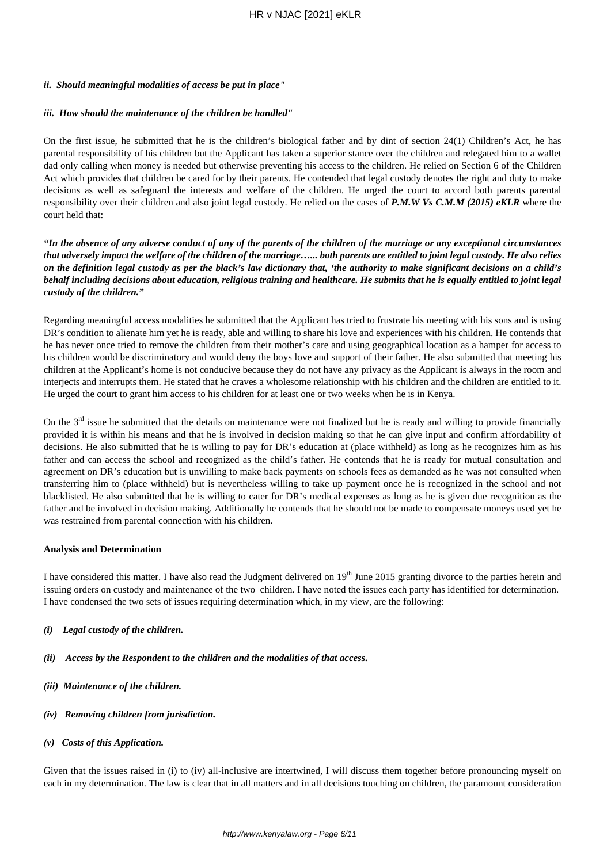# *ii. Should meaningful modalities of access be put in place"*

# *iii. How should the maintenance of the children be handled"*

On the first issue, he submitted that he is the children's biological father and by dint of section 24(1) Children's Act, he has parental responsibility of his children but the Applicant has taken a superior stance over the children and relegated him to a wallet dad only calling when money is needed but otherwise preventing his access to the children. He relied on Section 6 of the Children Act which provides that children be cared for by their parents. He contended that legal custody denotes the right and duty to make decisions as well as safeguard the interests and welfare of the children. He urged the court to accord both parents parental responsibility over their children and also joint legal custody. He relied on the cases of *P.M.W Vs C.M.M (2015) eKLR* where the court held that:

*"In the absence of any adverse conduct of any of the parents of the children of the marriage or any exceptional circumstances that adversely impact the welfare of the children of the marriage…... both parents are entitled to joint legal custody. He also relies on the definition legal custody as per the black's law dictionary that, 'the authority to make significant decisions on a child's behalf including decisions about education, religious training and healthcare. He submits that he is equally entitled to joint legal custody of the children."*

Regarding meaningful access modalities he submitted that the Applicant has tried to frustrate his meeting with his sons and is using DR's condition to alienate him yet he is ready, able and willing to share his love and experiences with his children. He contends that he has never once tried to remove the children from their mother's care and using geographical location as a hamper for access to his children would be discriminatory and would deny the boys love and support of their father. He also submitted that meeting his children at the Applicant's home is not conducive because they do not have any privacy as the Applicant is always in the room and interjects and interrupts them. He stated that he craves a wholesome relationship with his children and the children are entitled to it. He urged the court to grant him access to his children for at least one or two weeks when he is in Kenya.

On the  $3<sup>rd</sup>$  issue he submitted that the details on maintenance were not finalized but he is ready and willing to provide financially provided it is within his means and that he is involved in decision making so that he can give input and confirm affordability of decisions. He also submitted that he is willing to pay for DR's education at (place withheld) as long as he recognizes him as his father and can access the school and recognized as the child's father. He contends that he is ready for mutual consultation and agreement on DR's education but is unwilling to make back payments on schools fees as demanded as he was not consulted when transferring him to (place withheld) but is nevertheless willing to take up payment once he is recognized in the school and not blacklisted. He also submitted that he is willing to cater for DR's medical expenses as long as he is given due recognition as the father and be involved in decision making. Additionally he contends that he should not be made to compensate moneys used yet he was restrained from parental connection with his children.

# **Analysis and Determination**

I have considered this matter. I have also read the Judgment delivered on  $19<sup>th</sup>$  June 2015 granting divorce to the parties herein and issuing orders on custody and maintenance of the two children. I have noted the issues each party has identified for determination. I have condensed the two sets of issues requiring determination which, in my view, are the following:

- *(i) Legal custody of the children.*
- *(ii) Access by the Respondent to the children and the modalities of that access.*
- *(iii) Maintenance of the children.*
- *(iv) Removing children from jurisdiction.*
- *(v) Costs of this Application.*

Given that the issues raised in (i) to (iv) all-inclusive are intertwined, I will discuss them together before pronouncing myself on each in my determination. The law is clear that in all matters and in all decisions touching on children, the paramount consideration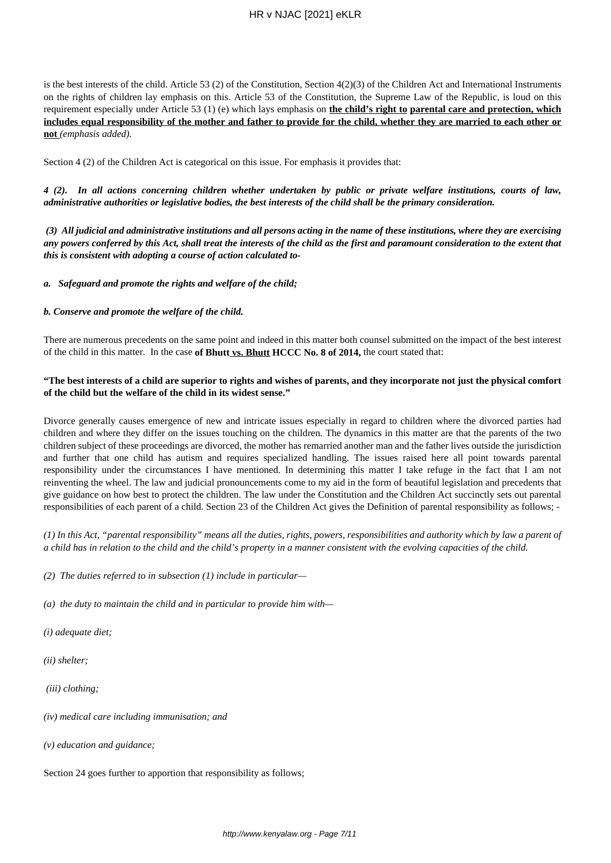is the best interests of the child. Article 53 (2) of the Constitution, Section  $4(2)(3)$  of the Children Act and International Instruments on the rights of children lay emphasis on this. Article 53 of the Constitution, the Supreme Law of the Republic, is loud on this requirement especially under Article 53 (1) (e) which lays emphasis on **the child's right to parental care and protection, which includes equal responsibility of the mother and father to provide for the child, whether they are married to each other or not** *(emphasis added).*

Section 4 (2) of the Children Act is categorical on this issue. For emphasis it provides that:

*4 (2). In all actions concerning children whether undertaken by public or private welfare institutions, courts of law, administrative authorities or legislative bodies, the best interests of the child shall be the primary consideration.*

*(3) All judicial and administrative institutions and all persons acting in the name of these institutions, where they are exercising any powers conferred by this Act, shall treat the interests of the child as the first and paramount consideration to the extent that this is consistent with adopting a course of action calculated to-*

*a. Safeguard and promote the rights and welfare of the child;*

### *b. Conserve and promote the welfare of the child.*

There are numerous precedents on the same point and indeed in this matter both counsel submitted on the impact of the best interest of the child in this matter. In the case **of Bhutt vs. Bhutt HCCC No. 8 of 2014,** the court stated that:

### **"The best interests of a child are superior to rights and wishes of parents, and they incorporate not just the physical comfort of the child but the welfare of the child in its widest sense."**

Divorce generally causes emergence of new and intricate issues especially in regard to children where the divorced parties had children and where they differ on the issues touching on the children. The dynamics in this matter are that the parents of the two children subject of these proceedings are divorced, the mother has remarried another man and the father lives outside the jurisdiction and further that one child has autism and requires specialized handling. The issues raised here all point towards parental responsibility under the circumstances I have mentioned. In determining this matter I take refuge in the fact that I am not reinventing the wheel. The law and judicial pronouncements come to my aid in the form of beautiful legislation and precedents that give guidance on how best to protect the children. The law under the Constitution and the Children Act succinctly sets out parental responsibilities of each parent of a child. Section 23 of the Children Act gives the Definition of parental responsibility as follows; -

*(1) In this Act, "parental responsibility" means all the duties, rights, powers, responsibilities and authority which by law a parent of a child has in relation to the child and the child's property in a manner consistent with the evolving capacities of the child.*

- *(2) The duties referred to in subsection (1) include in particular—*
- *(a) the duty to maintain the child and in particular to provide him with—*
- *(i) adequate diet;*
- *(ii) shelter;*
- *(iii) clothing;*
- *(iv) medical care including immunisation; and*
- *(v) education and guidance;*

Section 24 goes further to apportion that responsibility as follows;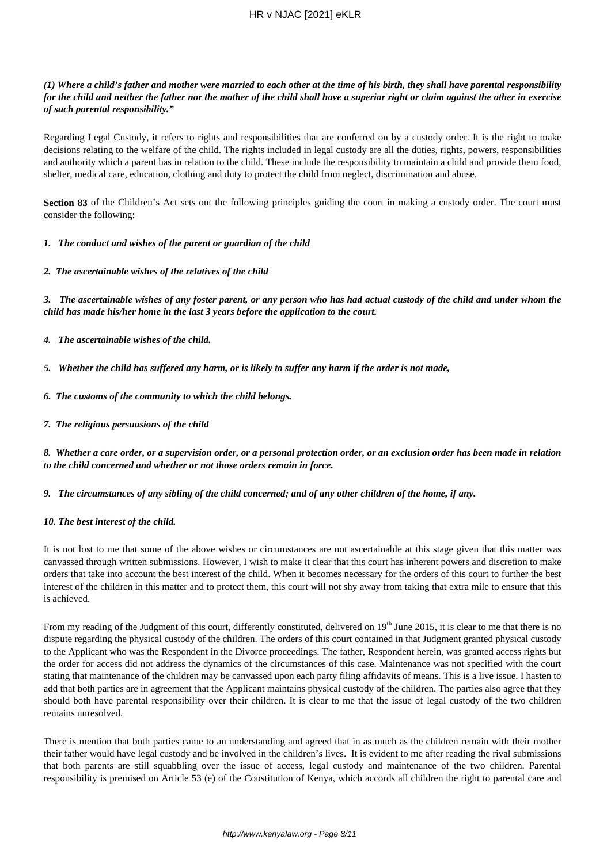# HR v NJAC [2021] eKLR

## *(1) Where a child's father and mother were married to each other at the time of his birth, they shall have parental responsibility for the child and neither the father nor the mother of the child shall have a superior right or claim against the other in exercise of such parental responsibility."*

Regarding Legal Custody, it refers to rights and responsibilities that are conferred on by a custody order. It is the right to make decisions relating to the welfare of the child. The rights included in legal custody are all the duties, rights, powers, responsibilities and authority which a parent has in relation to the child. These include the responsibility to maintain a child and provide them food, shelter, medical care, education, clothing and duty to protect the child from neglect, discrimination and abuse.

**Section 83** of the Children's Act sets out the following principles guiding the court in making a custody order. The court must consider the following:

### *1. The conduct and wishes of the parent or guardian of the child*

### *2. The ascertainable wishes of the relatives of the child*

*3. The ascertainable wishes of any foster parent, or any person who has had actual custody of the child and under whom the child has made his/her home in the last 3 years before the application to the court.*

- *4. The ascertainable wishes of the child.*
- *5. Whether the child has suffered any harm, or is likely to suffer any harm if the order is not made,*
- *6. The customs of the community to which the child belongs.*
- *7. The religious persuasions of the child*

*8. Whether a care order, or a supervision order, or a personal protection order, or an exclusion order has been made in relation to the child concerned and whether or not those orders remain in force.*

*9. The circumstances of any sibling of the child concerned; and of any other children of the home, if any.*

### *10. The best interest of the child.*

It is not lost to me that some of the above wishes or circumstances are not ascertainable at this stage given that this matter was canvassed through written submissions. However, I wish to make it clear that this court has inherent powers and discretion to make orders that take into account the best interest of the child. When it becomes necessary for the orders of this court to further the best interest of the children in this matter and to protect them, this court will not shy away from taking that extra mile to ensure that this is achieved.

From my reading of the Judgment of this court, differently constituted, delivered on  $19<sup>th</sup>$  June 2015, it is clear to me that there is no dispute regarding the physical custody of the children. The orders of this court contained in that Judgment granted physical custody to the Applicant who was the Respondent in the Divorce proceedings. The father, Respondent herein, was granted access rights but the order for access did not address the dynamics of the circumstances of this case. Maintenance was not specified with the court stating that maintenance of the children may be canvassed upon each party filing affidavits of means. This is a live issue. I hasten to add that both parties are in agreement that the Applicant maintains physical custody of the children. The parties also agree that they should both have parental responsibility over their children. It is clear to me that the issue of legal custody of the two children remains unresolved.

There is mention that both parties came to an understanding and agreed that in as much as the children remain with their mother their father would have legal custody and be involved in the children's lives. It is evident to me after reading the rival submissions that both parents are still squabbling over the issue of access, legal custody and maintenance of the two children. Parental responsibility is premised on Article 53 (e) of the Constitution of Kenya, which accords all children the right to parental care and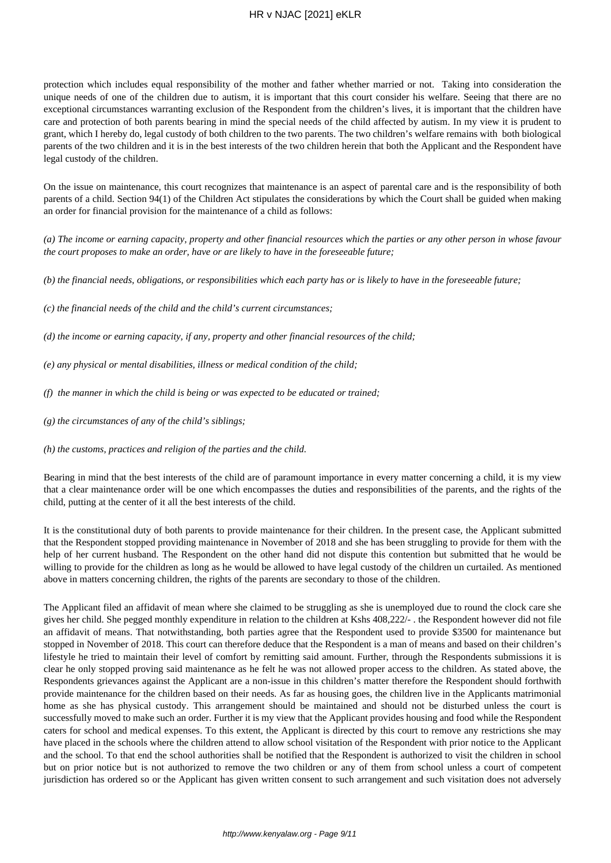# HR v NJAC [2021] eKLR

protection which includes equal responsibility of the mother and father whether married or not. Taking into consideration the unique needs of one of the children due to autism, it is important that this court consider his welfare. Seeing that there are no exceptional circumstances warranting exclusion of the Respondent from the children's lives, it is important that the children have care and protection of both parents bearing in mind the special needs of the child affected by autism. In my view it is prudent to grant, which I hereby do, legal custody of both children to the two parents. The two children's welfare remains with both biological parents of the two children and it is in the best interests of the two children herein that both the Applicant and the Respondent have legal custody of the children.

On the issue on maintenance, this court recognizes that maintenance is an aspect of parental care and is the responsibility of both parents of a child. Section 94(1) of the Children Act stipulates the considerations by which the Court shall be guided when making an order for financial provision for the maintenance of a child as follows:

*(a) The income or earning capacity, property and other financial resources which the parties or any other person in whose favour the court proposes to make an order, have or are likely to have in the foreseeable future;*

*(b) the financial needs, obligations, or responsibilities which each party has or is likely to have in the foreseeable future;*

- *(c) the financial needs of the child and the child's current circumstances;*
- *(d) the income or earning capacity, if any, property and other financial resources of the child;*
- *(e) any physical or mental disabilities, illness or medical condition of the child;*
- *(f) the manner in which the child is being or was expected to be educated or trained;*
- *(g) the circumstances of any of the child's siblings;*
- *(h) the customs, practices and religion of the parties and the child.*

Bearing in mind that the best interests of the child are of paramount importance in every matter concerning a child, it is my view that a clear maintenance order will be one which encompasses the duties and responsibilities of the parents, and the rights of the child, putting at the center of it all the best interests of the child.

It is the constitutional duty of both parents to provide maintenance for their children. In the present case, the Applicant submitted that the Respondent stopped providing maintenance in November of 2018 and she has been struggling to provide for them with the help of her current husband. The Respondent on the other hand did not dispute this contention but submitted that he would be willing to provide for the children as long as he would be allowed to have legal custody of the children un curtailed. As mentioned above in matters concerning children, the rights of the parents are secondary to those of the children.

The Applicant filed an affidavit of mean where she claimed to be struggling as she is unemployed due to round the clock care she gives her child. She pegged monthly expenditure in relation to the children at Kshs 408,222/- . the Respondent however did not file an affidavit of means. That notwithstanding, both parties agree that the Respondent used to provide \$3500 for maintenance but stopped in November of 2018. This court can therefore deduce that the Respondent is a man of means and based on their children's lifestyle he tried to maintain their level of comfort by remitting said amount. Further, through the Respondents submissions it is clear he only stopped proving said maintenance as he felt he was not allowed proper access to the children. As stated above, the Respondents grievances against the Applicant are a non-issue in this children's matter therefore the Respondent should forthwith provide maintenance for the children based on their needs. As far as housing goes, the children live in the Applicants matrimonial home as she has physical custody. This arrangement should be maintained and should not be disturbed unless the court is successfully moved to make such an order. Further it is my view that the Applicant provides housing and food while the Respondent caters for school and medical expenses. To this extent, the Applicant is directed by this court to remove any restrictions she may have placed in the schools where the children attend to allow school visitation of the Respondent with prior notice to the Applicant and the school. To that end the school authorities shall be notified that the Respondent is authorized to visit the children in school but on prior notice but is not authorized to remove the two children or any of them from school unless a court of competent jurisdiction has ordered so or the Applicant has given written consent to such arrangement and such visitation does not adversely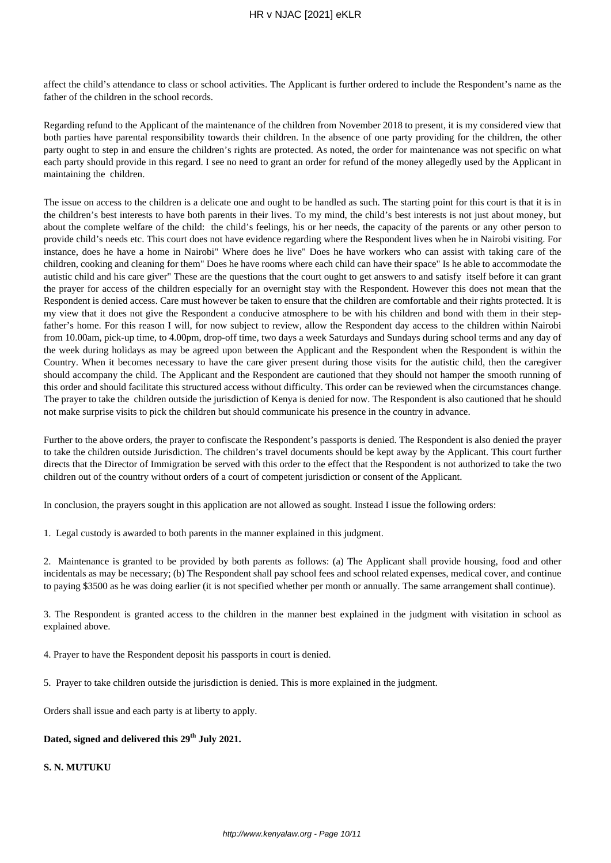affect the child's attendance to class or school activities. The Applicant is further ordered to include the Respondent's name as the father of the children in the school records.

Regarding refund to the Applicant of the maintenance of the children from November 2018 to present, it is my considered view that both parties have parental responsibility towards their children. In the absence of one party providing for the children, the other party ought to step in and ensure the children's rights are protected. As noted, the order for maintenance was not specific on what each party should provide in this regard. I see no need to grant an order for refund of the money allegedly used by the Applicant in maintaining the children.

The issue on access to the children is a delicate one and ought to be handled as such. The starting point for this court is that it is in the children's best interests to have both parents in their lives. To my mind, the child's best interests is not just about money, but about the complete welfare of the child: the child's feelings, his or her needs, the capacity of the parents or any other person to provide child's needs etc. This court does not have evidence regarding where the Respondent lives when he in Nairobi visiting. For instance, does he have a home in Nairobi" Where does he live" Does he have workers who can assist with taking care of the children, cooking and cleaning for them" Does he have rooms where each child can have their space" Is he able to accommodate the autistic child and his care giver" These are the questions that the court ought to get answers to and satisfy itself before it can grant the prayer for access of the children especially for an overnight stay with the Respondent. However this does not mean that the Respondent is denied access. Care must however be taken to ensure that the children are comfortable and their rights protected. It is my view that it does not give the Respondent a conducive atmosphere to be with his children and bond with them in their stepfather's home. For this reason I will, for now subject to review, allow the Respondent day access to the children within Nairobi from 10.00am, pick-up time, to 4.00pm, drop-off time, two days a week Saturdays and Sundays during school terms and any day of the week during holidays as may be agreed upon between the Applicant and the Respondent when the Respondent is within the Country. When it becomes necessary to have the care giver present during those visits for the autistic child, then the caregiver should accompany the child. The Applicant and the Respondent are cautioned that they should not hamper the smooth running of this order and should facilitate this structured access without difficulty. This order can be reviewed when the circumstances change. The prayer to take the children outside the jurisdiction of Kenya is denied for now. The Respondent is also cautioned that he should not make surprise visits to pick the children but should communicate his presence in the country in advance.

Further to the above orders, the prayer to confiscate the Respondent's passports is denied. The Respondent is also denied the prayer to take the children outside Jurisdiction. The children's travel documents should be kept away by the Applicant. This court further directs that the Director of Immigration be served with this order to the effect that the Respondent is not authorized to take the two children out of the country without orders of a court of competent jurisdiction or consent of the Applicant.

In conclusion, the prayers sought in this application are not allowed as sought. Instead I issue the following orders:

1. Legal custody is awarded to both parents in the manner explained in this judgment.

2. Maintenance is granted to be provided by both parents as follows: (a) The Applicant shall provide housing, food and other incidentals as may be necessary; (b) The Respondent shall pay school fees and school related expenses, medical cover, and continue to paying \$3500 as he was doing earlier (it is not specified whether per month or annually. The same arrangement shall continue).

3. The Respondent is granted access to the children in the manner best explained in the judgment with visitation in school as explained above.

4. Prayer to have the Respondent deposit his passports in court is denied.

5. Prayer to take children outside the jurisdiction is denied. This is more explained in the judgment.

Orders shall issue and each party is at liberty to apply.

# **Dated, signed and delivered this 29th July 2021.**

### **S. N. MUTUKU**